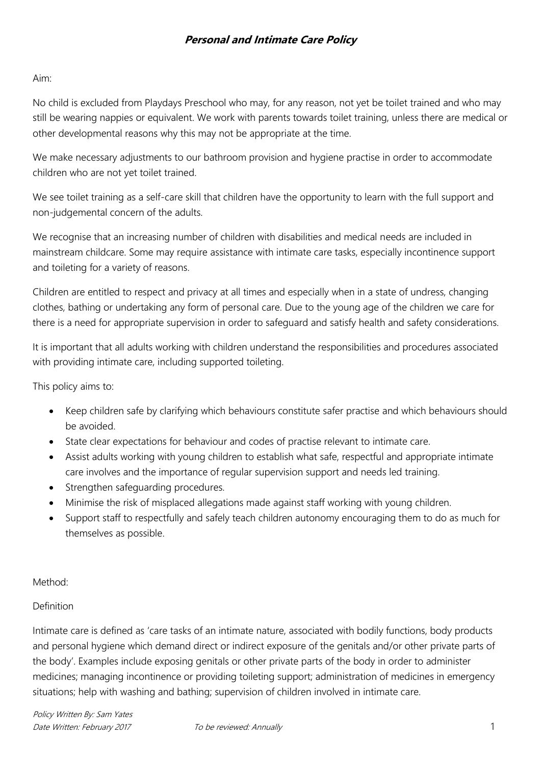### Aim:

No child is excluded from Playdays Preschool who may, for any reason, not yet be toilet trained and who may still be wearing nappies or equivalent. We work with parents towards toilet training, unless there are medical or other developmental reasons why this may not be appropriate at the time.

We make necessary adjustments to our bathroom provision and hygiene practise in order to accommodate children who are not yet toilet trained.

We see toilet training as a self-care skill that children have the opportunity to learn with the full support and non-judgemental concern of the adults.

We recognise that an increasing number of children with disabilities and medical needs are included in mainstream childcare. Some may require assistance with intimate care tasks, especially incontinence support and toileting for a variety of reasons.

Children are entitled to respect and privacy at all times and especially when in a state of undress, changing clothes, bathing or undertaking any form of personal care. Due to the young age of the children we care for there is a need for appropriate supervision in order to safeguard and satisfy health and safety considerations.

It is important that all adults working with children understand the responsibilities and procedures associated with providing intimate care, including supported toileting.

This policy aims to:

- Keep children safe by clarifying which behaviours constitute safer practise and which behaviours should be avoided.
- State clear expectations for behaviour and codes of practise relevant to intimate care.
- Assist adults working with young children to establish what safe, respectful and appropriate intimate care involves and the importance of regular supervision support and needs led training.
- Strengthen safeguarding procedures.
- Minimise the risk of misplaced allegations made against staff working with young children.
- Support staff to respectfully and safely teach children autonomy encouraging them to do as much for themselves as possible.

Method:

## Definition

Intimate care is defined as 'care tasks of an intimate nature, associated with bodily functions, body products and personal hygiene which demand direct or indirect exposure of the genitals and/or other private parts of the body'. Examples include exposing genitals or other private parts of the body in order to administer medicines; managing incontinence or providing toileting support; administration of medicines in emergency situations; help with washing and bathing; supervision of children involved in intimate care.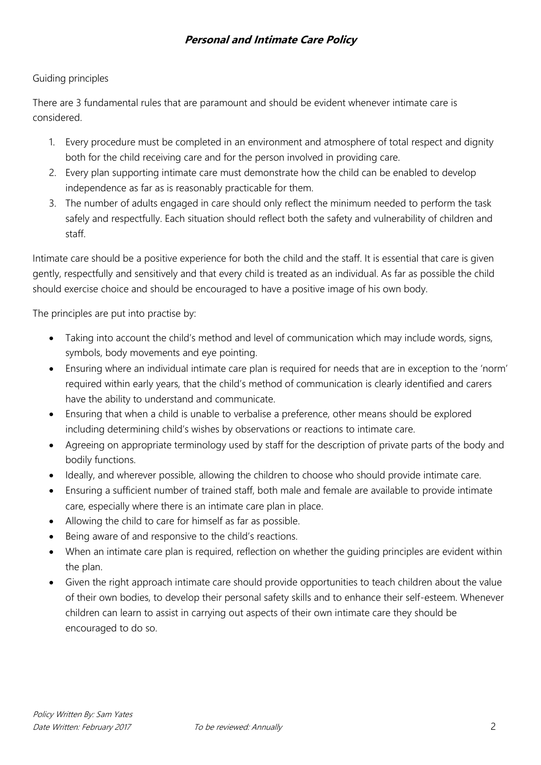## Guiding principles

There are 3 fundamental rules that are paramount and should be evident whenever intimate care is considered.

- 1. Every procedure must be completed in an environment and atmosphere of total respect and dignity both for the child receiving care and for the person involved in providing care.
- 2. Every plan supporting intimate care must demonstrate how the child can be enabled to develop independence as far as is reasonably practicable for them.
- 3. The number of adults engaged in care should only reflect the minimum needed to perform the task safely and respectfully. Each situation should reflect both the safety and vulnerability of children and staff.

Intimate care should be a positive experience for both the child and the staff. It is essential that care is given gently, respectfully and sensitively and that every child is treated as an individual. As far as possible the child should exercise choice and should be encouraged to have a positive image of his own body.

The principles are put into practise by:

- Taking into account the child's method and level of communication which may include words, signs, symbols, body movements and eye pointing.
- Ensuring where an individual intimate care plan is required for needs that are in exception to the 'norm' required within early years, that the child's method of communication is clearly identified and carers have the ability to understand and communicate.
- Ensuring that when a child is unable to verbalise a preference, other means should be explored including determining child's wishes by observations or reactions to intimate care.
- Agreeing on appropriate terminology used by staff for the description of private parts of the body and bodily functions.
- Ideally, and wherever possible, allowing the children to choose who should provide intimate care.
- Ensuring a sufficient number of trained staff, both male and female are available to provide intimate care, especially where there is an intimate care plan in place.
- Allowing the child to care for himself as far as possible.
- Being aware of and responsive to the child's reactions.
- When an intimate care plan is required, reflection on whether the guiding principles are evident within the plan.
- Given the right approach intimate care should provide opportunities to teach children about the value of their own bodies, to develop their personal safety skills and to enhance their self-esteem. Whenever children can learn to assist in carrying out aspects of their own intimate care they should be encouraged to do so.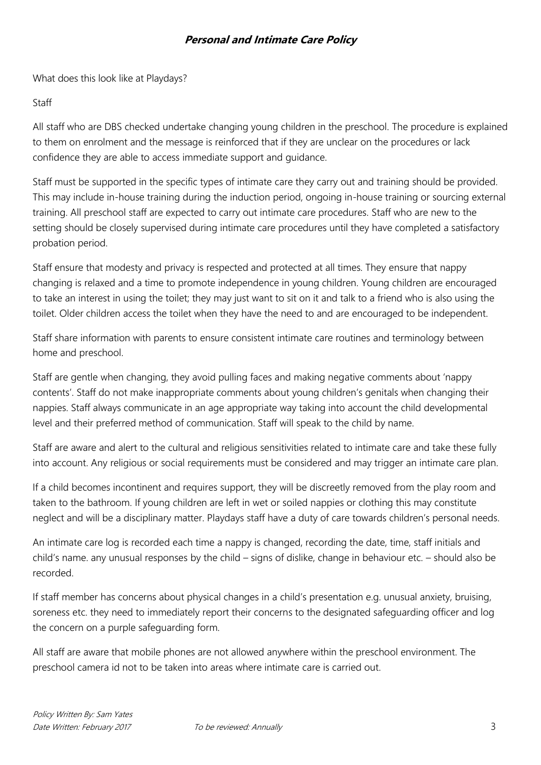What does this look like at Playdays?

### Staff

All staff who are DBS checked undertake changing young children in the preschool. The procedure is explained to them on enrolment and the message is reinforced that if they are unclear on the procedures or lack confidence they are able to access immediate support and guidance.

Staff must be supported in the specific types of intimate care they carry out and training should be provided. This may include in-house training during the induction period, ongoing in-house training or sourcing external training. All preschool staff are expected to carry out intimate care procedures. Staff who are new to the setting should be closely supervised during intimate care procedures until they have completed a satisfactory probation period.

Staff ensure that modesty and privacy is respected and protected at all times. They ensure that nappy changing is relaxed and a time to promote independence in young children. Young children are encouraged to take an interest in using the toilet; they may just want to sit on it and talk to a friend who is also using the toilet. Older children access the toilet when they have the need to and are encouraged to be independent.

Staff share information with parents to ensure consistent intimate care routines and terminology between home and preschool.

Staff are gentle when changing, they avoid pulling faces and making negative comments about 'nappy contents'. Staff do not make inappropriate comments about young children's genitals when changing their nappies. Staff always communicate in an age appropriate way taking into account the child developmental level and their preferred method of communication. Staff will speak to the child by name.

Staff are aware and alert to the cultural and religious sensitivities related to intimate care and take these fully into account. Any religious or social requirements must be considered and may trigger an intimate care plan.

If a child becomes incontinent and requires support, they will be discreetly removed from the play room and taken to the bathroom. If young children are left in wet or soiled nappies or clothing this may constitute neglect and will be a disciplinary matter. Playdays staff have a duty of care towards children's personal needs.

An intimate care log is recorded each time a nappy is changed, recording the date, time, staff initials and child's name. any unusual responses by the child – signs of dislike, change in behaviour etc. – should also be recorded.

If staff member has concerns about physical changes in a child's presentation e.g. unusual anxiety, bruising, soreness etc. they need to immediately report their concerns to the designated safeguarding officer and log the concern on a purple safeguarding form.

All staff are aware that mobile phones are not allowed anywhere within the preschool environment. The preschool camera id not to be taken into areas where intimate care is carried out.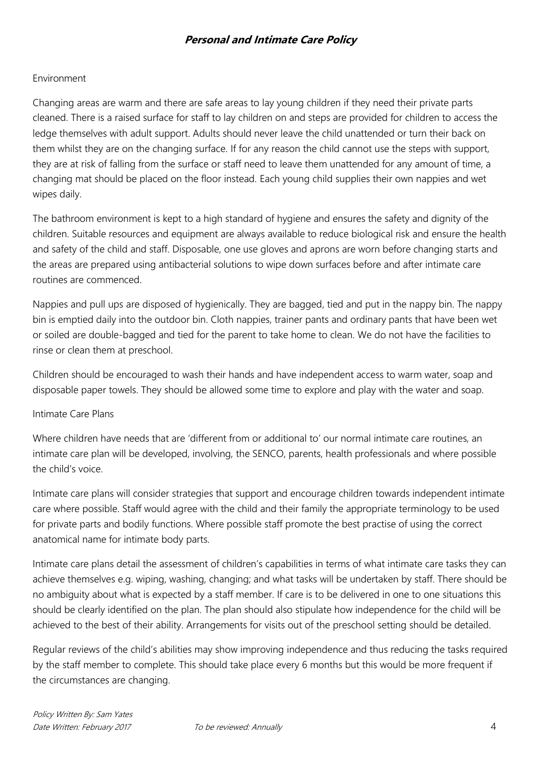#### Environment

Changing areas are warm and there are safe areas to lay young children if they need their private parts cleaned. There is a raised surface for staff to lay children on and steps are provided for children to access the ledge themselves with adult support. Adults should never leave the child unattended or turn their back on them whilst they are on the changing surface. If for any reason the child cannot use the steps with support, they are at risk of falling from the surface or staff need to leave them unattended for any amount of time, a changing mat should be placed on the floor instead. Each young child supplies their own nappies and wet wipes daily.

The bathroom environment is kept to a high standard of hygiene and ensures the safety and dignity of the children. Suitable resources and equipment are always available to reduce biological risk and ensure the health and safety of the child and staff. Disposable, one use gloves and aprons are worn before changing starts and the areas are prepared using antibacterial solutions to wipe down surfaces before and after intimate care routines are commenced.

Nappies and pull ups are disposed of hygienically. They are bagged, tied and put in the nappy bin. The nappy bin is emptied daily into the outdoor bin. Cloth nappies, trainer pants and ordinary pants that have been wet or soiled are double-bagged and tied for the parent to take home to clean. We do not have the facilities to rinse or clean them at preschool.

Children should be encouraged to wash their hands and have independent access to warm water, soap and disposable paper towels. They should be allowed some time to explore and play with the water and soap.

#### Intimate Care Plans

Where children have needs that are 'different from or additional to' our normal intimate care routines, an intimate care plan will be developed, involving, the SENCO, parents, health professionals and where possible the child's voice.

Intimate care plans will consider strategies that support and encourage children towards independent intimate care where possible. Staff would agree with the child and their family the appropriate terminology to be used for private parts and bodily functions. Where possible staff promote the best practise of using the correct anatomical name for intimate body parts.

Intimate care plans detail the assessment of children's capabilities in terms of what intimate care tasks they can achieve themselves e.g. wiping, washing, changing; and what tasks will be undertaken by staff. There should be no ambiguity about what is expected by a staff member. If care is to be delivered in one to one situations this should be clearly identified on the plan. The plan should also stipulate how independence for the child will be achieved to the best of their ability. Arrangements for visits out of the preschool setting should be detailed.

Regular reviews of the child's abilities may show improving independence and thus reducing the tasks required by the staff member to complete. This should take place every 6 months but this would be more frequent if the circumstances are changing.